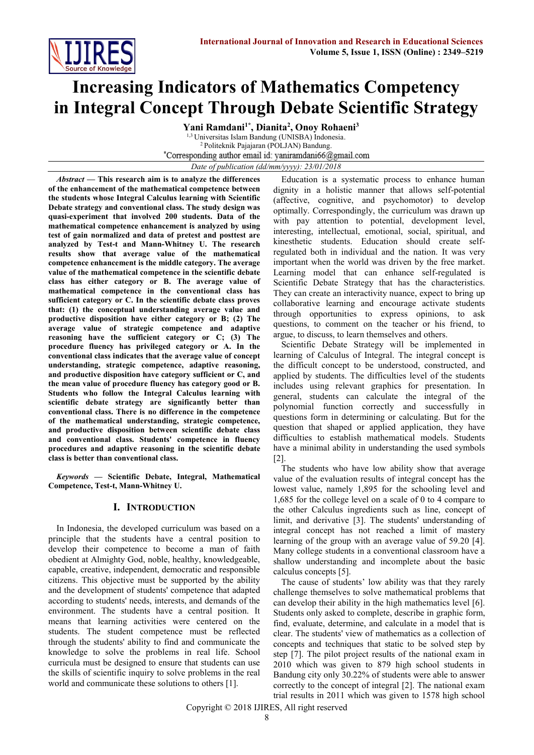

# **Increasing Indicators of Mathematics Competency in Integral Concept Through Debate Scientific Strategy**

**Yani Ramdani1\*, Dianita<sup>2</sup> , Onoy Rohaeni<sup>3</sup>** 1,3 Universitas Islam Bandung (UNISBA) Indonesia. <sup>2</sup> Politeknik Pajajaran (POLJAN) Bandung. \*Corresponding author email id: yaniramdani66@gmail.com *Date of publication (dd/mm/yyyy): 23/01/2018*

*Abstract* **— This research aim is to analyze the differences of the enhancement of the mathematical competence between the students whose Integral Calculus learning with Scientific Debate strategy and conventional class. The study design was quasi-experiment that involved 200 students. Data of the mathematical competence enhancement is analyzed by using test of gain normalized and data of pretest and posttest are analyzed by Test-t and Mann-Whitney U. The research results show that average value of the mathematical competence enhancement is the middle category. The average value of the mathematical competence in the scientific debate class has either category or B. The average value of mathematical competence in the conventional class has sufficient category or C. In the scientific debate class proves that: (1) the conceptual understanding average value and productive disposition have either category or B; (2) The average value of strategic competence and adaptive reasoning have the sufficient category or C; (3) The procedure fluency has privileged category or A. In the conventional class indicates that the average value of concept understanding, strategic competence, adaptive reasoning, and productive disposition have category sufficient or C, and the mean value of procedure fluency has category good or B. Students who follow the Integral Calculus learning with scientific debate strategy are significantly better than conventional class. There is no difference in the competence of the mathematical understanding, strategic competence, and productive disposition between scientific debate class and conventional class. Students' competence in fluency procedures and adaptive reasoning in the scientific debate class is better than conventional class.**

*Keywords* **— Scientific Debate, Integral, Mathematical Competence, Test-t, Mann-Whitney U.**

# **I. INTRODUCTION**

In Indonesia, the developed curriculum was based on a principle that the students have a central position to develop their competence to become a man of faith obedient at Almighty God, noble, healthy, knowledgeable, capable, creative, independent, democratic and responsible citizens. This objective must be supported by the ability and the development of students' competence that adapted according to students' needs, interests, and demands of the environment. The students have a central position. It means that learning activities were centered on the students. The student competence must be reflected through the students' ability to find and communicate the knowledge to solve the problems in real life. School curricula must be designed to ensure that students can use the skills of scientific inquiry to solve problems in the real world and communicate these solutions to others [1].

Education is a systematic process to enhance human dignity in a holistic manner that allows self-potential (affective, cognitive, and psychomotor) to develop optimally. Correspondingly, the curriculum was drawn up with pay attention to potential, development level, interesting, intellectual, emotional, social, spiritual, and kinesthetic students. Education should create selfregulated both in individual and the nation. It was very important when the world was driven by the free market. Learning model that can enhance self-regulated is Scientific Debate Strategy that has the characteristics. They can create an interactivity nuance, expect to bring up collaborative learning and encourage activate students through opportunities to express opinions, to ask questions, to comment on the teacher or his friend, to argue, to discuss, to learn themselves and others.

Scientific Debate Strategy will be implemented in learning of Calculus of Integral. The integral concept is the difficult concept to be understood, constructed, and applied by students. The difficulties level of the students includes using relevant graphics for presentation. In general, students can calculate the integral of the polynomial function correctly and successfully in questions form in determining or calculating. But for the question that shaped or applied application, they have difficulties to establish mathematical models. Students have a minimal ability in understanding the used symbols [2].

The students who have low ability show that average value of the evaluation results of integral concept has the lowest value, namely 1,895 for the schooling level and 1,685 for the college level on a scale of 0 to 4 compare to the other Calculus ingredients such as line, concept of limit, and derivative [3]. The students' understanding of integral concept has not reached a limit of mastery learning of the group with an average value of 59.20 [4]. Many college students in a conventional classroom have a shallow understanding and incomplete about the basic calculus concepts [5].

The cause of students' low ability was that they rarely challenge themselves to solve mathematical problems that can develop their ability in the high mathematics level [6]. Students only asked to complete, describe in graphic form, find, evaluate, determine, and calculate in a model that is clear. The students' view of mathematics as a collection of concepts and techniques that static to be solved step by step [7]. The pilot project results of the national exam in 2010 which was given to 879 high school students in Bandung city only 30.22% of students were able to answer correctly to the concept of integral [2]. The national exam trial results in 2011 which was given to 1578 high school

Copyright © 2018 IJIRES, All right reserved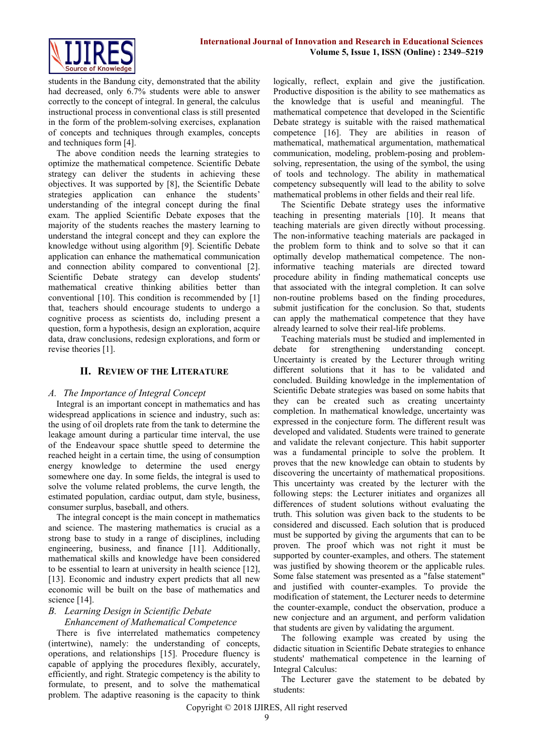

students in the Bandung city, demonstrated that the ability had decreased, only 6.7% students were able to answer correctly to the concept of integral. In general, the calculus instructional process in conventional class is still presented in the form of the problem-solving exercises, explanation of concepts and techniques through examples, concepts and techniques form [4].

The above condition needs the learning strategies to optimize the mathematical competence. Scientific Debate strategy can deliver the students in achieving these objectives. It was supported by [8], the Scientific Debate strategies application can enhance the students' understanding of the integral concept during the final exam. The applied Scientific Debate exposes that the majority of the students reaches the mastery learning to understand the integral concept and they can explore the knowledge without using algorithm [9]. Scientific Debate application can enhance the mathematical communication and connection ability compared to conventional [2]. Scientific Debate strategy can develop students' mathematical creative thinking abilities better than conventional [10]. This condition is recommended by [1] that, teachers should encourage students to undergo a cognitive process as scientists do, including present a question, form a hypothesis, design an exploration, acquire data, draw conclusions, redesign explorations, and form or revise theories [1].

### **II. REVIEW OF THE LITERATURE**

#### *A. The Importance of Integral Concept*

Integral is an important concept in mathematics and has widespread applications in science and industry, such as: the using of oil droplets rate from the tank to determine the leakage amount during a particular time interval, the use of the Endeavour space shuttle speed to determine the reached height in a certain time, the using of consumption energy knowledge to determine the used energy somewhere one day. In some fields, the integral is used to solve the volume related problems, the curve length, the estimated population, cardiac output, dam style, business, consumer surplus, baseball, and others.

The integral concept is the main concept in mathematics and science. The mastering mathematics is crucial as a strong base to study in a range of disciplines, including engineering, business, and finance [11]. Additionally, mathematical skills and knowledge have been considered to be essential to learn at university in health science [12], [13]. Economic and industry expert predicts that all new economic will be built on the base of mathematics and science [14].

# *B. Learning Design in Scientific Debate*

# *Enhancement of Mathematical Competence*

There is five interrelated mathematics competency (intertwine), namely: the understanding of concepts, operations, and relationships [15]. Procedure fluency is capable of applying the procedures flexibly, accurately, efficiently, and right. Strategic competency is the ability to formulate, to present, and to solve the mathematical problem. The adaptive reasoning is the capacity to think logically, reflect, explain and give the justification. Productive disposition is the ability to see mathematics as the knowledge that is useful and meaningful. The mathematical competence that developed in the Scientific Debate strategy is suitable with the raised mathematical competence [16]. They are abilities in reason of mathematical, mathematical argumentation, mathematical communication, modeling, problem-posing and problemsolving, representation, the using of the symbol, the using of tools and technology. The ability in mathematical competency subsequently will lead to the ability to solve mathematical problems in other fields and their real life.

The Scientific Debate strategy uses the informative teaching in presenting materials [10]. It means that teaching materials are given directly without processing. The non-informative teaching materials are packaged in the problem form to think and to solve so that it can optimally develop mathematical competence. The noninformative teaching materials are directed toward procedure ability in finding mathematical concepts use that associated with the integral completion. It can solve non-routine problems based on the finding procedures, submit justification for the conclusion. So that, students can apply the mathematical competence that they have already learned to solve their real-life problems.

Teaching materials must be studied and implemented in debate for strengthening understanding concept. Uncertainty is created by the Lecturer through writing different solutions that it has to be validated and concluded. Building knowledge in the implementation of Scientific Debate strategies was based on some habits that they can be created such as creating uncertainty completion. In mathematical knowledge, uncertainty was expressed in the conjecture form. The different result was developed and validated. Students were trained to generate and validate the relevant conjecture. This habit supporter was a fundamental principle to solve the problem. It proves that the new knowledge can obtain to students by discovering the uncertainty of mathematical propositions. This uncertainty was created by the lecturer with the following steps: the Lecturer initiates and organizes all differences of student solutions without evaluating the truth. This solution was given back to the students to be considered and discussed. Each solution that is produced must be supported by giving the arguments that can to be proven. The proof which was not right it must be supported by counter-examples, and others. The statement was justified by showing theorem or the applicable rules. Some false statement was presented as a "false statement" and justified with counter-examples. To provide the modification of statement, the Lecturer needs to determine the counter-example, conduct the observation, produce a new conjecture and an argument, and perform validation that students are given by validating the argument.

The following example was created by using the didactic situation in Scientific Debate strategies to enhance students' mathematical competence in the learning of Integral Calculus:

The Lecturer gave the statement to be debated by students: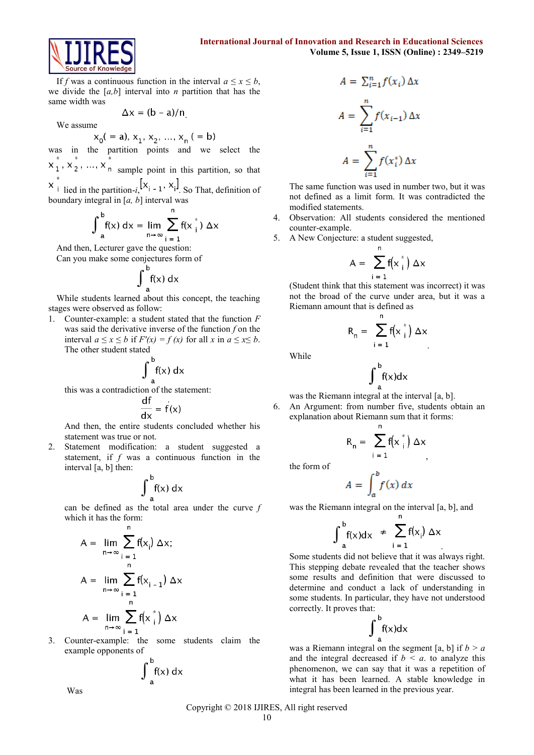



If *f* was a continuous function in the interval  $a \le x \le b$ , we divide the [*a,b*] interval into *n* partition that has the same width was

$$
\Delta x = (b - a)/n
$$

We assume

$$
x_0( = a), x_1, x_2, ..., x_n (= b)
$$

was in the partition points and we select the

 $x_1^*, x_2^*, ..., x_n^*$  sample point in this partition, so that

 $\begin{bmatrix} x_i \\ y_i \end{bmatrix}$  lied in the partition-*i*,  $\begin{bmatrix} x_i - 1 \\ y_i \end{bmatrix}$ . So That, definition of boundary integral in [*a, b*] interval was

$$
\int_{a}^{b} f(x) dx = \lim_{n \to \infty} \sum_{i=1}^{n} f(x_i^*) \Delta x
$$

And then, Lecturer gave the question:

Can you make some conjectures form of

$$
\int_{a}^{b} f(x) dx
$$

While students learned about this concept, the teaching stages were observed as follow:

1. Counter-example: a student stated that the function *F* was said the derivative inverse of the function *f* on the interval  $a \le x \le b$  if  $F'(x) = f(x)$  for all x in  $a \le x \le b$ . The other student stated

$$
\int_{a}^{b} f(x) dx
$$

this was a contradiction of the statement:

$$
\frac{dt}{dx} = f(x)
$$

And then, the entire students concluded whether his statement was true or not.

2. Statement modification: a student suggested a statement, if *f* was a continuous function in the interval [a, b] then:

$$
\int_{a}^{b} f(x) dx
$$

can be defined as the total area under the curve *f* which it has the form:

$$
A = \lim_{n \to \infty} \sum_{i=1}^{n} f(x_i) \Delta x;
$$
  

$$
A = \lim_{n \to \infty} \sum_{i=1}^{n} f(x_{i-1}) \Delta x
$$
  

$$
A = \lim_{n \to \infty} \sum_{i=1}^{n} f(x_{i}^{*}) \Delta x
$$

3. Counter-example: the some students claim the example opponents of

$$
\int_{a}^{b}f(x) dx
$$

 $A = \sum_{i=1}^{n} f(x_i) \Delta x$  $A = \sum_{i=1}^{n} f(x_{i-1}) \Delta x$  $A = \sum_{i=1}^{n} f(x_i^*) \Delta x$ 

The same function was used in number two, but it was not defined as a limit form. It was contradicted the modified statements.

- 4. Observation: All students considered the mentioned counter-example.
- 5. A New Conjecture: a student suggested,

$$
A = \sum_{i=1}^{n} f(x_i^*) \Delta x
$$

(Student think that this statement was incorrect) it was not the broad of the curve under area, but it was a Riemann amount that is defined as

$$
R_n = \sum_{i=1}^n f(x_i^*) \Delta x
$$

While

$$
\int_{a}^{b} f(x) dx
$$

was the Riemann integral at the interval [a, b].

6. An Argument: from number five, students obtain an explanation about Riemann sum that it forms:

$$
R_n = \sum_{i=1}^n f(x_i^*) \Delta x
$$

the form of

$$
A = \int_{a}^{b} f(x) \, dx
$$

was the Riemann integral on the interval [a, b], and

$$
\int_{a}^{b} f(x) dx \neq \sum_{i=1}^{n} f(x_i) \Delta x
$$

Some students did not believe that it was always right. This stepping debate revealed that the teacher shows some results and definition that were discussed to determine and conduct a lack of understanding in some students. In particular, they have not understood correctly. It proves that:

$$
\int_{a}^{b}f(x)dx
$$

was a Riemann integral on the segment  $[a, b]$  if  $b > a$ and the integral decreased if  $b < a$ , to analyze this phenomenon, we can say that it was a repetition of what it has been learned. A stable knowledge in integral has been learned in the previous year.

Was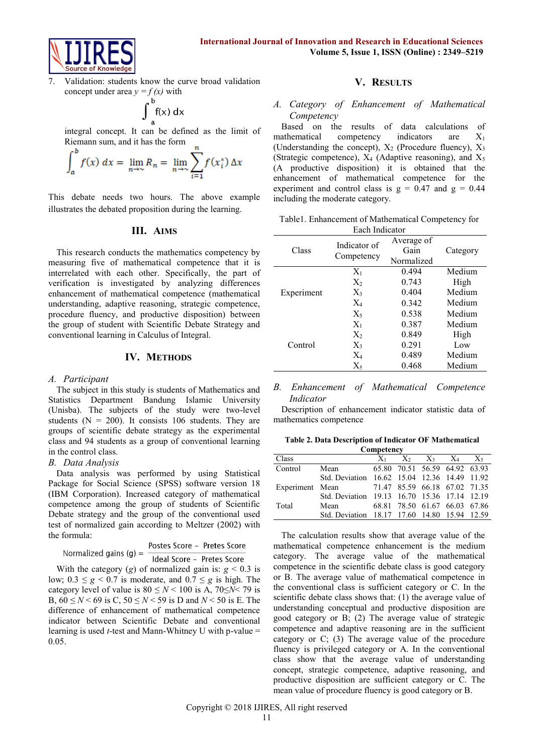

7. Validation: students know the curve broad validation concept under area  $y = f(x)$  with

$$
\int_{a}^{b} f(x) dx
$$

integral concept. It can be defined as the limit of Riemann sum, and it has the form

$$
\int_{a}^{b} f(x) dx = \lim_{n \to \infty} R_n = \lim_{n \to \infty} \sum_{i=1}^{n} f(x_i^*) \Delta x
$$

This debate needs two hours. The above example illustrates the debated proposition during the learning.

# **III. AIMS**

This research conducts the mathematics competency by measuring five of mathematical competence that it is interrelated with each other. Specifically, the part of verification is investigated by analyzing differences enhancement of mathematical competence (mathematical understanding, adaptive reasoning, strategic competence, procedure fluency, and productive disposition) between the group of student with Scientific Debate Strategy and conventional learning in Calculus of Integral.

#### **IV. METHODS**

#### *A. Participant*

The subject in this study is students of Mathematics and Statistics Department Bandung Islamic University (Unisba). The subjects of the study were two-level students ( $N = 200$ ). It consists 106 students. They are groups of scientific debate strategy as the experimental class and 94 students as a group of conventional learning in the control class.

#### *B. Data Analysis*

Data analysis was performed by using Statistical Package for Social Science (SPSS) software version 18 (IBM Corporation). Increased category of mathematical competence among the group of students of Scientific Debate strategy and the group of the conventional used test of normalized gain according to Meltzer (2002) with the formula:

| Normalized gains $(g)$ = | Postes Score - Pretes Score |  |  |
|--------------------------|-----------------------------|--|--|
|                          | Ideal Score - Pretes Score  |  |  |

With the category  $(g)$  of normalized gain is:  $g < 0.3$  is low;  $0.3 \leq g \leq 0.7$  is moderate, and  $0.7 \leq g$  is high. The category level of value is  $80 \le N < 100$  is A,  $70 \le N < 79$  is B,  $60 \le N$  < 69 is C,  $50 \le N$  < 59 is D and *N* < 50 is E. The difference of enhancement of mathematical competence indicator between Scientific Debate and conventional learning is used *t*-test and Mann-Whitney U with p-value = 0.05.

#### **V. RESULTS**

#### *A. Category of Enhancement of Mathematical Competency*

Based on the results of data calculations of mathematical competency indicators are X<sup>1</sup> (Understanding the concept),  $X_2$  (Procedure fluency),  $X_3$ (Strategic competence),  $X_4$  (Adaptive reasoning), and  $X_5$ (A productive disposition) it is obtained that the enhancement of mathematical competence for the experiment and control class is  $g = 0.47$  and  $g = 0.44$ including the moderate category.

| Table 1. Enhancement of Mathematical Competency for |  |
|-----------------------------------------------------|--|
| Each Indicator                                      |  |

| Class      | Indicator of<br>Competency | Average of<br>Gain<br>Normalized | Category |
|------------|----------------------------|----------------------------------|----------|
|            | $X_1$                      | 0.494                            | Medium   |
| Experiment | $X_2$                      | 0.743                            | High     |
|            | $X_3$                      | 0.404                            | Medium   |
|            | $X_4$                      | 0.342                            | Medium   |
|            | $X_5$                      | 0.538                            | Medium   |
| Control    | $X_1$                      | 0.387                            | Medium   |
|            | $X_2$                      | 0.849                            | High     |
|            | $X_3$                      | 0.291                            | Low      |
|            | $X_4$                      | 0.489                            | Medium   |
|            | $X_5$                      | 0.468                            | Medium   |

#### *B. Enhancement of Mathematical Competence Indicator*

Description of enhancement indicator statistic data of mathematics competence

**Table 2. Data Description of Indicator OF Mathematical Competency**

| Class   |                                               | $X_1$ | $X_2$ $X_3$ $X_4$ $X_5$       |  |
|---------|-----------------------------------------------|-------|-------------------------------|--|
| Control | Mean                                          |       | 65.80 70.51 56.59 64.92 63.93 |  |
|         | Std. Deviation 16.62 15.04 12.36 14.49 11.92  |       |                               |  |
|         | Experiment Mean 71.47 85.59 66.18 67.02 71.35 |       |                               |  |
|         | Std. Deviation 19.13 16.70 15.36 17.14 12.19  |       |                               |  |
| Total   | Mean                                          |       | 68.81 78.50 61.67 66.03 67.86 |  |
|         | Std. Deviation 18.17 17.60 14.80 15.94 12.59  |       |                               |  |

The calculation results show that average value of the mathematical competence enhancement is the medium category. The average value of the mathematical competence in the scientific debate class is good category or B. The average value of mathematical competence in the conventional class is sufficient category or C. In the scientific debate class shows that: (1) the average value of understanding conceptual and productive disposition are good category or B; (2) The average value of strategic competence and adaptive reasoning are in the sufficient category or C; (3) The average value of the procedure fluency is privileged category or A. In the conventional class show that the average value of understanding concept, strategic competence, adaptive reasoning, and productive disposition are sufficient category or C. The mean value of procedure fluency is good category or B.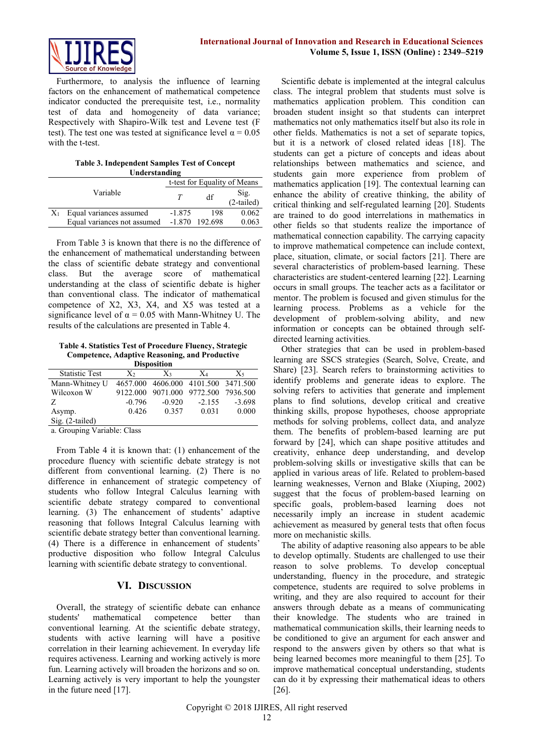

Furthermore, to analysis the influence of learning factors on the enhancement of mathematical competence indicator conducted the prerequisite test, i.e., normality test of data and homogeneity of data variance; Respectively with Shapiro-Wilk test and Levene test (F test). The test one was tested at significance level  $\alpha = 0.05$ with the t-test.

**Table 3. Independent Samples Test of Concept** 

| Understanding |                             |          |         |                              |
|---------------|-----------------------------|----------|---------|------------------------------|
|               |                             |          |         | t-test for Equality of Means |
|               | Variable                    |          | df      | $Sig.$<br>(2-tailed)         |
|               | Equal variances assumed     | $-1.875$ | 198     | 0.062                        |
|               | Equal variances not assumed | $-1.870$ | 192.698 | 0.063                        |

From Table 3 is known that there is no the difference of the enhancement of mathematical understanding between the class of scientific debate strategy and conventional class. But the average score of mathematical understanding at the class of scientific debate is higher than conventional class. The indicator of mathematical competence of X2, X3, X4, and X5 was tested at a significance level of  $\alpha = 0.05$  with Mann-Whitney U. The results of the calculations are presented in Table 4.

**Table 4. Statistics Test of Procedure Fluency, Strategic Competence, Adaptive Reasoning, and Productive** 

| <b>Disposition</b>    |          |                                     |          |          |  |  |
|-----------------------|----------|-------------------------------------|----------|----------|--|--|
| <b>Statistic Test</b> | $X_{2}$  | $X_3$                               | $X_4$    | X5       |  |  |
| Mann-Whitney U        |          | 4657.000 4606.000 4101.500 3471.500 |          |          |  |  |
| Wilcoxon W            |          | 9122.000 9071.000 9772.500          |          | 7936.500 |  |  |
| Z                     | $-0.796$ | $-0.920$                            | $-2.155$ | $-3.698$ |  |  |
| Asymp.                | 0.426    | 0.357                               | 0.031    | 0.000    |  |  |
| $Sig. (2-tailed)$     |          |                                     |          |          |  |  |

a. Grouping Variable: Class

From Table 4 it is known that: (1) enhancement of the procedure fluency with scientific debate strategy is not different from conventional learning. (2) There is no difference in enhancement of strategic competency of students who follow Integral Calculus learning with scientific debate strategy compared to conventional learning. (3) The enhancement of students' adaptive reasoning that follows Integral Calculus learning with scientific debate strategy better than conventional learning. (4) There is a difference in enhancement of students' productive disposition who follow Integral Calculus learning with scientific debate strategy to conventional.

# **VI. DISCUSSION**

Overall, the strategy of scientific debate can enhance students' mathematical competence better than conventional learning. At the scientific debate strategy, students with active learning will have a positive correlation in their learning achievement. In everyday life requires activeness. Learning and working actively is more fun. Learning actively will broaden the horizons and so on. Learning actively is very important to help the youngster in the future need [17].

Scientific debate is implemented at the integral calculus class. The integral problem that students must solve is mathematics application problem. This condition can broaden student insight so that students can interpret mathematics not only mathematics itself but also its role in other fields. Mathematics is not a set of separate topics, but it is a network of closed related ideas [18]. The students can get a picture of concepts and ideas about relationships between mathematics and science, and students gain more experience from problem of mathematics application [19]. The contextual learning can enhance the ability of creative thinking, the ability of critical thinking and self-regulated learning [20]. Students are trained to do good interrelations in mathematics in other fields so that students realize the importance of mathematical connection capability. The carrying capacity to improve mathematical competence can include context, place, situation, climate, or social factors [21]. There are several characteristics of problem-based learning. These characteristics are student-centered learning [22]. Learning occurs in small groups. The teacher acts as a facilitator or mentor. The problem is focused and given stimulus for the learning process. Problems as a vehicle for the development of problem-solving ability, and new information or concepts can be obtained through selfdirected learning activities.

Other strategies that can be used in problem-based learning are SSCS strategies (Search, Solve, Create, and Share) [23]. Search refers to brainstorming activities to identify problems and generate ideas to explore. The solving refers to activities that generate and implement plans to find solutions, develop critical and creative thinking skills, propose hypotheses, choose appropriate methods for solving problems, collect data, and analyze them. The benefits of problem-based learning are put forward by [24], which can shape positive attitudes and creativity, enhance deep understanding, and develop problem-solving skills or investigative skills that can be applied in various areas of life. Related to problem-based learning weaknesses, Vernon and Blake (Xiuping, 2002) suggest that the focus of problem-based learning on specific goals, problem-based learning does not necessarily imply an increase in student academic achievement as measured by general tests that often focus more on mechanistic skills.

The ability of adaptive reasoning also appears to be able to develop optimally. Students are challenged to use their reason to solve problems. To develop conceptual understanding, fluency in the procedure, and strategic competence, students are required to solve problems in writing, and they are also required to account for their answers through debate as a means of communicating their knowledge. The students who are trained in mathematical communication skills, their learning needs to be conditioned to give an argument for each answer and respond to the answers given by others so that what is being learned becomes more meaningful to them [25]. To improve mathematical conceptual understanding, students can do it by expressing their mathematical ideas to others [26].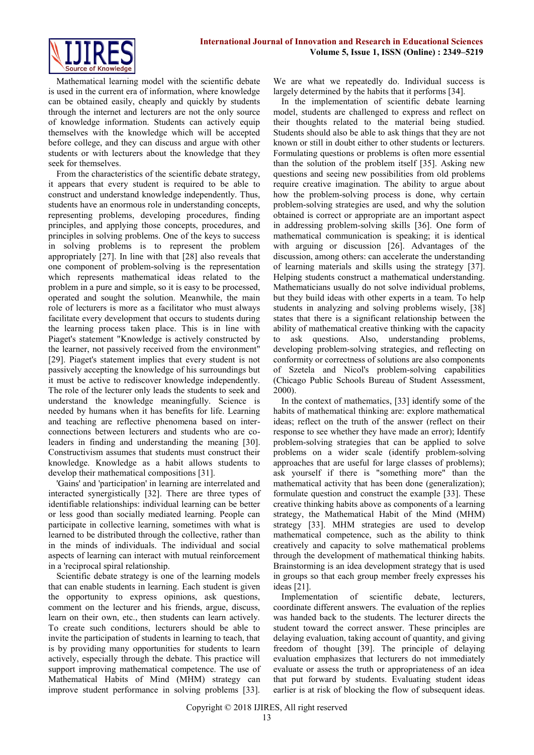

Mathematical learning model with the scientific debate is used in the current era of information, where knowledge can be obtained easily, cheaply and quickly by students through the internet and lecturers are not the only source of knowledge information. Students can actively equip themselves with the knowledge which will be accepted before college, and they can discuss and argue with other students or with lecturers about the knowledge that they seek for themselves.

From the characteristics of the scientific debate strategy, it appears that every student is required to be able to construct and understand knowledge independently. Thus, students have an enormous role in understanding concepts, representing problems, developing procedures, finding principles, and applying those concepts, procedures, and principles in solving problems. One of the keys to success in solving problems is to represent the problem appropriately [27]. In line with that [28] also reveals that one component of problem-solving is the representation which represents mathematical ideas related to the problem in a pure and simple, so it is easy to be processed, operated and sought the solution. Meanwhile, the main role of lecturers is more as a facilitator who must always facilitate every development that occurs to students during the learning process taken place. This is in line with Piaget's statement "Knowledge is actively constructed by the learner, not passively received from the environment" [29]. Piaget's statement implies that every student is not passively accepting the knowledge of his surroundings but it must be active to rediscover knowledge independently. The role of the lecturer only leads the students to seek and understand the knowledge meaningfully. Science is needed by humans when it has benefits for life. Learning and teaching are reflective phenomena based on interconnections between lecturers and students who are coleaders in finding and understanding the meaning [30]. Constructivism assumes that students must construct their knowledge. Knowledge as a habit allows students to develop their mathematical compositions [31].

'Gains' and 'participation' in learning are interrelated and interacted synergistically [32]. There are three types of identifiable relationships: individual learning can be better or less good than socially mediated learning. People can participate in collective learning, sometimes with what is learned to be distributed through the collective, rather than in the minds of individuals. The individual and social aspects of learning can interact with mutual reinforcement in a 'reciprocal spiral relationship.

Scientific debate strategy is one of the learning models that can enable students in learning. Each student is given the opportunity to express opinions, ask questions, comment on the lecturer and his friends, argue, discuss, learn on their own, etc., then students can learn actively. To create such conditions, lecturers should be able to invite the participation of students in learning to teach, that is by providing many opportunities for students to learn actively, especially through the debate. This practice will support improving mathematical competence. The use of Mathematical Habits of Mind (MHM) strategy can improve student performance in solving problems [33]. We are what we repeatedly do. Individual success is largely determined by the habits that it performs [34].

In the implementation of scientific debate learning model, students are challenged to express and reflect on their thoughts related to the material being studied. Students should also be able to ask things that they are not known or still in doubt either to other students or lecturers. Formulating questions or problems is often more essential than the solution of the problem itself [35]. Asking new questions and seeing new possibilities from old problems require creative imagination. The ability to argue about how the problem-solving process is done, why certain problem-solving strategies are used, and why the solution obtained is correct or appropriate are an important aspect in addressing problem-solving skills [36]. One form of mathematical communication is speaking; it is identical with arguing or discussion [26]. Advantages of the discussion, among others: can accelerate the understanding of learning materials and skills using the strategy [37]. Helping students construct a mathematical understanding. Mathematicians usually do not solve individual problems, but they build ideas with other experts in a team. To help students in analyzing and solving problems wisely, [38] states that there is a significant relationship between the ability of mathematical creative thinking with the capacity to ask questions. Also, understanding problems, developing problem-solving strategies, and reflecting on conformity or correctness of solutions are also components of Szetela and Nicol's problem-solving capabilities (Chicago Public Schools Bureau of Student Assessment, 2000).

In the context of mathematics, [33] identify some of the habits of mathematical thinking are: explore mathematical ideas; reflect on the truth of the answer (reflect on their response to see whether they have made an error); Identify problem-solving strategies that can be applied to solve problems on a wider scale (identify problem-solving approaches that are useful for large classes of problems); ask yourself if there is "something more" than the mathematical activity that has been done (generalization); formulate question and construct the example [33]. These creative thinking habits above as components of a learning strategy, the Mathematical Habit of the Mind (MHM) strategy [33]. MHM strategies are used to develop mathematical competence, such as the ability to think creatively and capacity to solve mathematical problems through the development of mathematical thinking habits. Brainstorming is an idea development strategy that is used in groups so that each group member freely expresses his ideas [21].

Implementation of scientific debate, lecturers, coordinate different answers. The evaluation of the replies was handed back to the students. The lecturer directs the student toward the correct answer. These principles are delaying evaluation, taking account of quantity, and giving freedom of thought [39]. The principle of delaying evaluation emphasizes that lecturers do not immediately evaluate or assess the truth or appropriateness of an idea that put forward by students. Evaluating student ideas earlier is at risk of blocking the flow of subsequent ideas.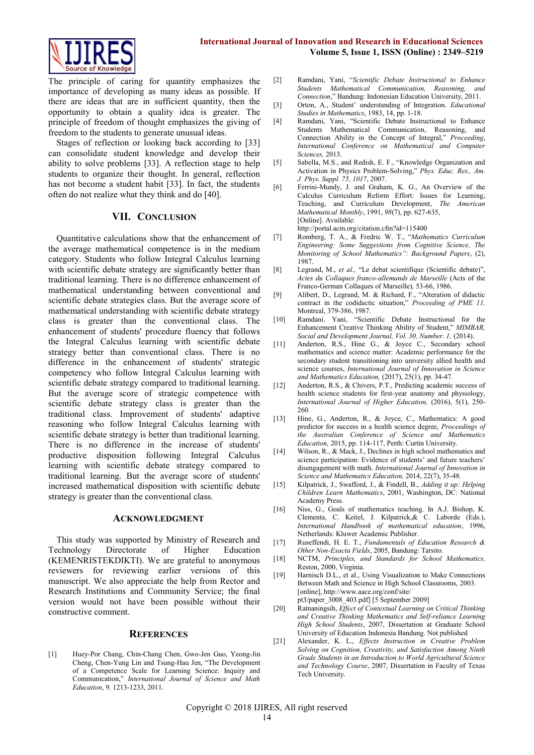

The principle of caring for quantity emphasizes the importance of developing as many ideas as possible. If there are ideas that are in sufficient quantity, then the opportunity to obtain a quality idea is greater. The principle of freedom of thought emphasizes the giving of freedom to the students to generate unusual ideas.

Stages of reflection or looking back according to [33] can consolidate student knowledge and develop their ability to solve problems [33]. A reflection stage to help students to organize their thought. In general, reflection has not become a student habit [33]. In fact, the students often do not realize what they think and do [40].

#### **VII. CONCLUSION**

Quantitative calculations show that the enhancement of the average mathematical competence is in the medium category. Students who follow Integral Calculus learning with scientific debate strategy are significantly better than traditional learning. There is no difference enhancement of mathematical understanding between conventional and scientific debate strategies class. But the average score of mathematical understanding with scientific debate strategy class is greater than the conventional class. The enhancement of students' procedure fluency that follows the Integral Calculus learning with scientific debate strategy better than conventional class. There is no difference in the enhancement of students' strategic competency who follow Integral Calculus learning with scientific debate strategy compared to traditional learning. But the average score of strategic competence with scientific debate strategy class is greater than the traditional class. Improvement of students' adaptive reasoning who follow Integral Calculus learning with scientific debate strategy is better than traditional learning. There is no difference in the increase of students' productive disposition following Integral Calculus learning with scientific debate strategy compared to traditional learning. But the average score of students' increased mathematical disposition with scientific debate strategy is greater than the conventional class.

#### **ACKNOWLEDGMENT**

This study was supported by Ministry of Research and Technology Directorate of Higher Education (KEMENRISTEKDIKTI). We are grateful to anonymous reviewers for reviewing earlier versions of this manuscript. We also appreciate the help from Rector and Research Institutions and Community Service; the final version would not have been possible without their constructive comment.

#### **REFERENCES**

[1] Huey-Por Chang, Chin-Chang Chen, Gwo-Jen Guo, Yeong-Jin Cheng, Chen-Yung Lin and Tsung-Hau Jen, "The Development of a Competence Scale for Learning Science: Inquiry and Communication," *International Journal of Science and Math Education*, 9*,* 1213-1233, 2011.

- [2] Ramdani, Yani, "*Scientific Debate Instructional to Enhance Students Mathematical Communication, Reasoning, and Connection*," Bandung: Indonesian Education University, 2011.
- [3] Orton, A., Student' understanding of Integration. *Educational Studies in Mathematics*, 1983, 14, pp. 1-18.
- [4] Ramdani, Yani, "Scientific Debate Instructional to Enhance Students Mathematical Communication, Reasoning, and Connection Ability in the Concept of Integral," *Proceeding*, *International Conference on Mathematical and Computer Sciences,* 2013.
- [5] Sabella, M.S., and Redish, E. F., "Knowledge Organization and Activation in Physics Problem-Solving," *Phys. Educ. Res., Am. J. Phys. Suppl. 75, 1017*, 2007.
- [6] Ferrini-Mundy, J. and Graham, K. G., An Overview of the Calculus Curriculum Reform Effort: Issues for Learning, Teaching, and Curriculum Development, *The American Mathematical Monthly*, 1991, *98*(7), pp. 627-635, [Online]. Available: <http://portal.acm.org/citation.cfm?id=115400>
- [7] Romberg, T. A., & Fredric W. T., "*Mathematics Curriculum Engineering: Some Suggestions from Cognitive Science, The*
- *Monitoring of School Mathematics": Background Papers*, (2), 1987.
- [8] Legrand, M., *et al.*, "Le debat scientifique (Scientific debate)", *Actes du Collaques franco-allemands de Marseille* (Acts of the Franco-German Collaques of Marseille)*,* 53-66, 1986.
- [9] Alibert, D., Legrand, M. & Richard, F., "Alteration of didactic contract in the codidactic situation," *Proceeding of PME 11,*  Montreal, 379-386, 1987.
- [10] Ramdani. Yani, "Scientific Debate Instructional for the Enhancement Creative Thinking Ability of Student," *MIMBAR, Social and Development Journal, Vol. 30, Number. 1,* (2014).
- [11] Anderton, R.S., Hine G., & Joyce C., Secondary school mathematics and science matter: Academic performance for the secondary student transitioning into university allied health and science courses, *International Journal of Innovation in Science and Mathematics Education,* (2017), 25(1), pp. 34-47*.*
- [12] Anderton, R.S., & Chivers, P.T., Predicting academic success of health science students for first-year anatomy and physiology, *International Journal of Higher Education,* (2016), 5(1), 250- 260*.*
- [13] Hine, G., Anderton, R., & Joyce, C., Mathematics: A good predictor for success in a health science degree, *Proceedings of the Australian Conference of Science and Mathematics Education,* 2015, pp. 114-117, Perth: Curtin University.
- [14] Wilson, R., & Mack, J., Declines in high school mathematics and science participation: Evidence of students' and future teachers' disengagement with math. *International Journal of Innovation in Science and Mathematics Education,* 2014, 22(7), 35-48.
- [15] Kilpatrick, J., Swafford, J., & Findell, B., *Adding it up: Helping Children Learn Mathematics*, 2001, Washington, DC: National Academy Press.
- [16] Niss, G., Goals of mathematics teaching. In A.J. Bishop, K. Clementa, C. Keitel, J. Kilpatrick,& C. Laborde (Eds.), *International Handbook of mathematical education*, 1996, Netherlands: Kluwer Academic Publisher.
- [17] Ruseffendi, H. E. T., *Fundamentals of Education Research & Other Non-Exacta Fields*, 2005, Bandung: Tarsito.
- [18] NCTM, *Principles, and Standards for School Mathematics,*  Reston, 2000, Virginia.
- [19] Harnisch D.L., et al., Using Visualization to Make Connections Between Math and Science in High School Classrooms, 2003. [online], http://www.aace.org/conf/site/ pt3/paper\_3008\_403.pdf] [5 September 2009]
- [20] Ratnaningsih, *Effect of Contextual Learning on Critical Thinking and Creative Thinking Mathematics and Self-reliance Learning High School Students*, 2007, Dissertation at Graduate School University of Education Indonesia Bandung. Not published
- [21] Alexander, K. L., *Effects Instruction in Creative Problem Solving on Cognition, Creativity, and Satisfaction Among Ninth Grade Students in an Introduction to World Agricultural Science and Technology Course*, 2007, Dissertation in Faculty of Texas Tech University.